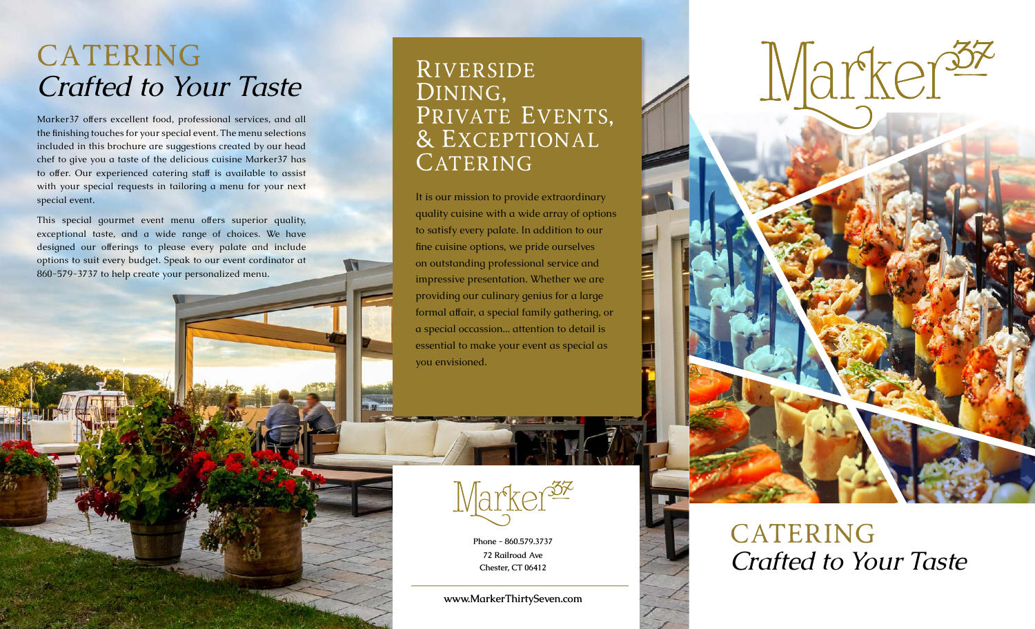# CATERING *Crafted to Your Taste*

Marker37 offers excellent food, professional services, and all the finishing touches for your special event. The menu selections included in this brochure are suggestions created by our head chef to give you a taste of the delicious cuisine Marker37 has to offer. Our experienced catering staff is available to assist with your special requests in tailoring a menu for your next special event.

This special gourmet event menu offers superior quality, exceptional taste, and a wide range of choices. We have designed our offerings to please every palate and include options to suit every budget. Speak to our event cordinator at 860-579-3737 to help create your personalized menu.

## **RIVERSIDE** DINING, PRIVATE EVENTS, & Exceptional CATERING

It is our mission to provide extraordinary quality cuisine with a wide array of options to satisfy every palate. In addition to our fine cuisine options, we pride ourselves on outstanding professional service and impressive presentation. Whether we are providing our culinary genius for a large formal affair, a special family gathering, or a special occassion... attention to detail is essential to make your event as special as you envisioned.



**Phone - 860.579.3737 72 Railroad Ave Chester, CT 06412**

**www.MarkerThirtySeven.com**

Marker

## CATERING *Crafted to Your Taste*